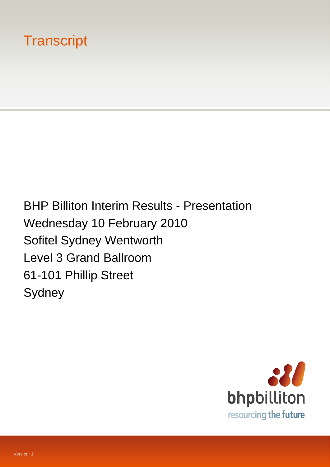# **Transcript**

BHP Billiton Interim Results - Presentation Wednesday 10 February 2010 Sofitel Sydney Wentworth Level 3 Grand Ballroom 61-101 Phillip Street Sydney

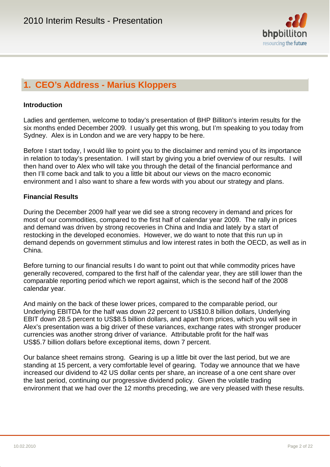

## **1. CEO's Address - Marius Kloppers**

#### **Introduction**

Ladies and gentlemen, welcome to today's presentation of BHP Billiton's interim results for the six months ended December 2009. I usually get this wrong, but I'm speaking to you today from Sydney. Alex is in London and we are very happy to be here.

Before I start today, I would like to point you to the disclaimer and remind you of its importance in relation to today's presentation. I will start by giving you a brief overview of our results. I will then hand over to Alex who will take you through the detail of the financial performance and then I'll come back and talk to you a little bit about our views on the macro economic environment and I also want to share a few words with you about our strategy and plans.

#### **Financial Results**

During the December 2009 half year we did see a strong recovery in demand and prices for most of our commodities, compared to the first half of calendar year 2009. The rally in prices and demand was driven by strong recoveries in China and India and lately by a start of restocking in the developed economies. However, we do want to note that this run up in demand depends on government stimulus and low interest rates in both the OECD, as well as in China.

Before turning to our financial results I do want to point out that while commodity prices have generally recovered, compared to the first half of the calendar year, they are still lower than the comparable reporting period which we report against, which is the second half of the 2008 calendar year.

And mainly on the back of these lower prices, compared to the comparable period, our Underlying EBITDA for the half was down 22 percent to US\$10.8 billion dollars, Underlying EBIT down 28.5 percent to US\$8.5 billion dollars, and apart from prices, which you will see in Alex's presentation was a big driver of these variances, exchange rates with stronger producer currencies was another strong driver of variance. Attributable profit for the half was US\$5.7 billion dollars before exceptional items, down 7 percent.

Our balance sheet remains strong. Gearing is up a little bit over the last period, but we are standing at 15 percent, a very comfortable level of gearing. Today we announce that we have increased our dividend to 42 US dollar cents per share, an increase of a one cent share over the last period, continuing our progressive dividend policy. Given the volatile trading environment that we had over the 12 months preceding, we are very pleased with these results.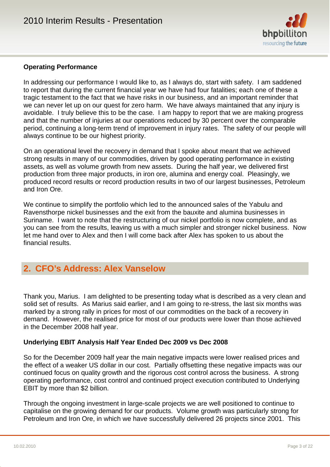

#### **Operating Performance**

In addressing our performance I would like to, as I always do, start with safety. I am saddened to report that during the current financial year we have had four fatalities; each one of these a tragic testament to the fact that we have risks in our business, and an important reminder that we can never let up on our quest for zero harm. We have always maintained that any injury is avoidable. I truly believe this to be the case. I am happy to report that we are making progress and that the number of injuries at our operations reduced by 30 percent over the comparable period, continuing a long-term trend of improvement in injury rates. The safety of our people will always continue to be our highest priority.

On an operational level the recovery in demand that I spoke about meant that we achieved strong results in many of our commodities, driven by good operating performance in existing assets, as well as volume growth from new assets. During the half year, we delivered first production from three major products, in iron ore, alumina and energy coal. Pleasingly, we produced record results or record production results in two of our largest businesses, Petroleum and Iron Ore.

We continue to simplify the portfolio which led to the announced sales of the Yabulu and Ravensthorpe nickel businesses and the exit from the bauxite and alumina businesses in Suriname. I want to note that the restructuring of our nickel portfolio is now complete, and as you can see from the results, leaving us with a much simpler and stronger nickel business. Now let me hand over to Alex and then I will come back after Alex has spoken to us about the financial results.

### **2. CFO's Address: Alex Vanselow**

Thank you, Marius. I am delighted to be presenting today what is described as a very clean and solid set of results. As Marius said earlier, and I am going to re-stress, the last six months was marked by a strong rally in prices for most of our commodities on the back of a recovery in demand. However, the realised price for most of our products were lower than those achieved in the December 2008 half year.

#### **Underlying EBIT Analysis Half Year Ended Dec 2009 vs Dec 2008**

So for the December 2009 half year the main negative impacts were lower realised prices and the effect of a weaker US dollar in our cost. Partially offsetting these negative impacts was our continued focus on quality growth and the rigorous cost control across the business. A strong operating performance, cost control and continued project execution contributed to Underlying EBIT by more than \$2 billion.

Through the ongoing investment in large-scale projects we are well positioned to continue to capitalise on the growing demand for our products. Volume growth was particularly strong for Petroleum and Iron Ore, in which we have successfully delivered 26 projects since 2001. This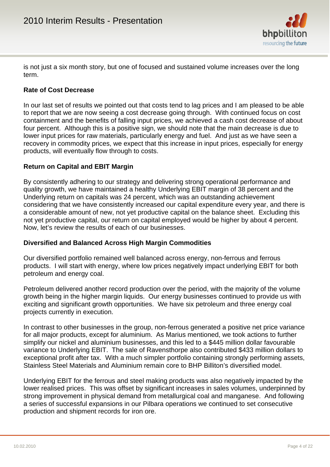

is not just a six month story, but one of focused and sustained volume increases over the long term.

#### **Rate of Cost Decrease**

In our last set of results we pointed out that costs tend to lag prices and I am pleased to be able to report that we are now seeing a cost decrease going through. With continued focus on cost containment and the benefits of falling input prices, we achieved a cash cost decrease of about four percent. Although this is a positive sign, we should note that the main decrease is due to lower input prices for raw materials, particularly energy and fuel. And just as we have seen a recovery in commodity prices, we expect that this increase in input prices, especially for energy products, will eventually flow through to costs.

#### **Return on Capital and EBIT Margin**

By consistently adhering to our strategy and delivering strong operational performance and quality growth, we have maintained a healthy Underlying EBIT margin of 38 percent and the Underlying return on capitals was 24 percent, which was an outstanding achievement considering that we have consistently increased our capital expenditure every year, and there is a considerable amount of new, not yet productive capital on the balance sheet. Excluding this not yet productive capital, our return on capital employed would be higher by about 4 percent. Now, let's review the results of each of our businesses.

#### **Diversified and Balanced Across High Margin Commodities**

Our diversified portfolio remained well balanced across energy, non-ferrous and ferrous products. I will start with energy, where low prices negatively impact underlying EBIT for both petroleum and energy coal.

Petroleum delivered another record production over the period, with the majority of the volume growth being in the higher margin liquids. Our energy businesses continued to provide us with exciting and significant growth opportunities. We have six petroleum and three energy coal projects currently in execution.

In contrast to other businesses in the group, non-ferrous generated a positive net price variance for all major products, except for aluminium. As Marius mentioned, we took actions to further simplify our nickel and aluminium businesses, and this led to a \$445 million dollar favourable variance to Underlying EBIT. The sale of Ravensthorpe also contributed \$433 million dollars to exceptional profit after tax. With a much simpler portfolio containing strongly performing assets, Stainless Steel Materials and Aluminium remain core to BHP Billiton's diversified model.

Underlying EBIT for the ferrous and steel making products was also negatively impacted by the lower realised prices. This was offset by significant increases in sales volumes, underpinned by strong improvement in physical demand from metallurgical coal and manganese. And following a series of successful expansions in our Pilbara operations we continued to set consecutive production and shipment records for iron ore.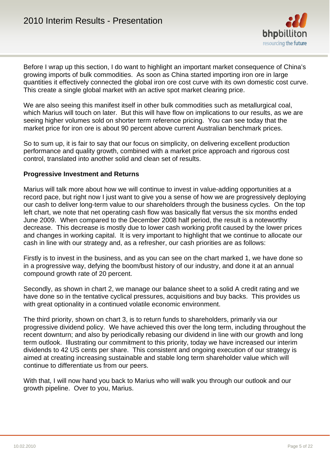

Before I wrap up this section, I do want to highlight an important market consequence of China's growing imports of bulk commodities. As soon as China started importing iron ore in large quantities it effectively connected the global iron ore cost curve with its own domestic cost curve. This create a single global market with an active spot market clearing price.

We are also seeing this manifest itself in other bulk commodities such as metallurgical coal, which Marius will touch on later. But this will have flow on implications to our results, as we are seeing higher volumes sold on shorter term reference pricing. You can see today that the market price for iron ore is about 90 percent above current Australian benchmark prices.

So to sum up, it is fair to say that our focus on simplicity, on delivering excellent production performance and quality growth, combined with a market price approach and rigorous cost control, translated into another solid and clean set of results.

#### **Progressive Investment and Returns**

Marius will talk more about how we will continue to invest in value-adding opportunities at a record pace, but right now I just want to give you a sense of how we are progressively deploying our cash to deliver long-term value to our shareholders through the business cycles. On the top left chart, we note that net operating cash flow was basically flat versus the six months ended June 2009. When compared to the December 2008 half period, the result is a noteworthy decrease. This decrease is mostly due to lower cash working profit caused by the lower prices and changes in working capital. It is very important to highlight that we continue to allocate our cash in line with our strategy and, as a refresher, our cash priorities are as follows:

Firstly is to invest in the business, and as you can see on the chart marked 1, we have done so in a progressive way, defying the boom/bust history of our industry, and done it at an annual compound growth rate of 20 percent.

Secondly, as shown in chart 2, we manage our balance sheet to a solid A credit rating and we have done so in the tentative cyclical pressures, acquisitions and buy backs. This provides us with great optionality in a continued volatile economic environment.

The third priority, shown on chart 3, is to return funds to shareholders, primarily via our progressive dividend policy. We have achieved this over the long term, including throughout the recent downturn; and also by periodically rebasing our dividend in line with our growth and long term outlook. Illustrating our commitment to this priority, today we have increased our interim dividends to 42 US cents per share. This consistent and ongoing execution of our strategy is aimed at creating increasing sustainable and stable long term shareholder value which will continue to differentiate us from our peers.

With that, I will now hand you back to Marius who will walk you through our outlook and our growth pipeline. Over to you, Marius.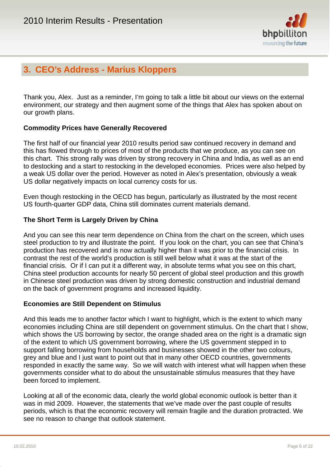

## **3. CEO's Address - Marius Kloppers**

Thank you, Alex. Just as a reminder, I'm going to talk a little bit about our views on the external environment, our strategy and then augment some of the things that Alex has spoken about on our growth plans.

#### **Commodity Prices have Generally Recovered**

The first half of our financial year 2010 results period saw continued recovery in demand and this has flowed through to prices of most of the products that we produce, as you can see on this chart. This strong rally was driven by strong recovery in China and India, as well as an end to destocking and a start to restocking in the developed economies. Prices were also helped by a weak US dollar over the period. However as noted in Alex's presentation, obviously a weak US dollar negatively impacts on local currency costs for us.

Even though restocking in the OECD has begun, particularly as illustrated by the most recent US fourth-quarter GDP data, China still dominates current materials demand.

#### **The Short Term is Largely Driven by China**

And you can see this near term dependence on China from the chart on the screen, which uses steel production to try and illustrate the point. If you look on the chart, you can see that China's production has recovered and is now actually higher than it was prior to the financial crisis. In contrast the rest of the world's production is still well below what it was at the start of the financial crisis. Or if I can put it a different way, in absolute terms what you see on this chart, China steel production accounts for nearly 50 percent of global steel production and this growth in Chinese steel production was driven by strong domestic construction and industrial demand on the back of government programs and increased liquidity.

#### **Economies are Still Dependent on Stimulus**

And this leads me to another factor which I want to highlight, which is the extent to which many economies including China are still dependent on government stimulus. On the chart that I show, which shows the US borrowing by sector, the orange shaded area on the right is a dramatic sign of the extent to which US government borrowing, where the US government stepped in to support falling borrowing from households and businesses showed in the other two colours, grey and blue and I just want to point out that in many other OECD countries, governments responded in exactly the same way. So we will watch with interest what will happen when these governments consider what to do about the unsustainable stimulus measures that they have been forced to implement.

Looking at all of the economic data, clearly the world global economic outlook is better than it was in mid 2009. However, the statements that we've made over the past couple of results periods, which is that the economic recovery will remain fragile and the duration protracted. We see no reason to change that outlook statement.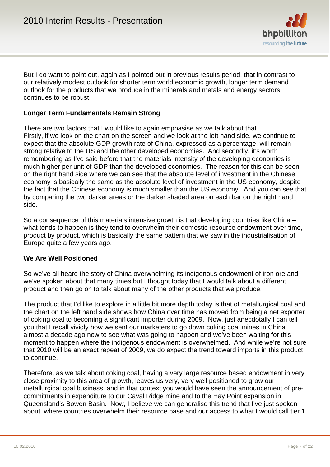

But I do want to point out, again as I pointed out in previous results period, that in contrast to our relatively modest outlook for shorter term world economic growth, longer term demand outlook for the products that we produce in the minerals and metals and energy sectors continues to be robust.

#### **Longer Term Fundamentals Remain Strong**

There are two factors that I would like to again emphasise as we talk about that. Firstly, if we look on the chart on the screen and we look at the left hand side, we continue to expect that the absolute GDP growth rate of China, expressed as a percentage, will remain strong relative to the US and the other developed economies. And secondly, it's worth remembering as I've said before that the materials intensity of the developing economies is much higher per unit of GDP than the developed economies. The reason for this can be seen on the right hand side where we can see that the absolute level of investment in the Chinese economy is basically the same as the absolute level of investment in the US economy, despite the fact that the Chinese economy is much smaller than the US economy. And you can see that by comparing the two darker areas or the darker shaded area on each bar on the right hand side.

So a consequence of this materials intensive growth is that developing countries like China – what tends to happen is they tend to overwhelm their domestic resource endowment over time, product by product, which is basically the same pattern that we saw in the industrialisation of Europe quite a few years ago.

#### **We Are Well Positioned**

So we've all heard the story of China overwhelming its indigenous endowment of iron ore and we've spoken about that many times but I thought today that I would talk about a different product and then go on to talk about many of the other products that we produce.

The product that I'd like to explore in a little bit more depth today is that of metallurgical coal and the chart on the left hand side shows how China over time has moved from being a net exporter of coking coal to becoming a significant importer during 2009. Now, just anecdotally I can tell you that I recall vividly how we sent our marketers to go down coking coal mines in China almost a decade ago now to see what was going to happen and we've been waiting for this moment to happen where the indigenous endowment is overwhelmed. And while we're not sure that 2010 will be an exact repeat of 2009, we do expect the trend toward imports in this product to continue.

Therefore, as we talk about coking coal, having a very large resource based endowment in very close proximity to this area of growth, leaves us very, very well positioned to grow our metallurgical coal business, and in that context you would have seen the announcement of precommitments in expenditure to our Caval Ridge mine and to the Hay Point expansion in Queensland's Bowen Basin. Now, I believe we can generalise this trend that I've just spoken about, where countries overwhelm their resource base and our access to what I would call tier 1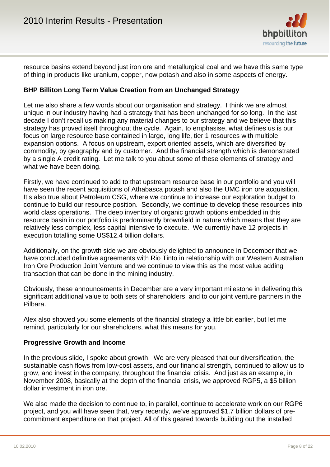

resource basins extend beyond just iron ore and metallurgical coal and we have this same type of thing in products like uranium, copper, now potash and also in some aspects of energy.

#### **BHP Billiton Long Term Value Creation from an Unchanged Strategy**

Let me also share a few words about our organisation and strategy. I think we are almost unique in our industry having had a strategy that has been unchanged for so long. In the last decade I don't recall us making any material changes to our strategy and we believe that this strategy has proved itself throughout the cycle. Again, to emphasise, what defines us is our focus on large resource base contained in large, long life, tier 1 resources with multiple expansion options. A focus on upstream, export oriented assets, which are diversified by commodity, by geography and by customer. And the financial strength which is demonstrated by a single A credit rating. Let me talk to you about some of these elements of strategy and what we have been doing.

Firstly, we have continued to add to that upstream resource base in our portfolio and you will have seen the recent acquisitions of Athabasca potash and also the UMC iron ore acquisition. It's also true about Petroleum CSG, where we continue to increase our exploration budget to continue to build our resource position. Secondly, we continue to develop these resources into world class operations. The deep inventory of organic growth options embedded in this resource basin in our portfolio is predominantly brownfield in nature which means that they are relatively less complex, less capital intensive to execute. We currently have 12 projects in execution totalling some US\$12.4 billion dollars.

Additionally, on the growth side we are obviously delighted to announce in December that we have concluded definitive agreements with Rio Tinto in relationship with our Western Australian Iron Ore Production Joint Venture and we continue to view this as the most value adding transaction that can be done in the mining industry.

Obviously, these announcements in December are a very important milestone in delivering this significant additional value to both sets of shareholders, and to our joint venture partners in the Pilbara.

Alex also showed you some elements of the financial strategy a little bit earlier, but let me remind, particularly for our shareholders, what this means for you.

#### **Progressive Growth and Income**

In the previous slide, I spoke about growth. We are very pleased that our diversification, the sustainable cash flows from low-cost assets, and our financial strength, continued to allow us to grow, and invest in the company, throughout the financial crisis. And just as an example, in November 2008, basically at the depth of the financial crisis, we approved RGP5, a \$5 billion dollar investment in iron ore.

We also made the decision to continue to, in parallel, continue to accelerate work on our RGP6 project, and you will have seen that, very recently, we've approved \$1.7 billion dollars of precommitment expenditure on that project. All of this geared towards building out the installed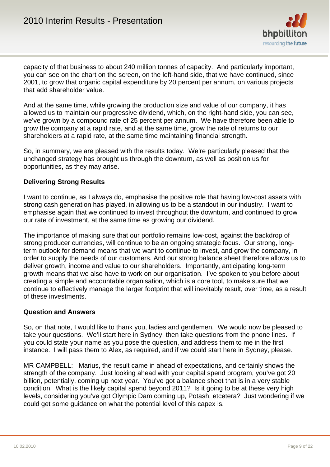

capacity of that business to about 240 million tonnes of capacity. And particularly important, you can see on the chart on the screen, on the left-hand side, that we have continued, since 2001, to grow that organic capital expenditure by 20 percent per annum, on various projects that add shareholder value.

And at the same time, while growing the production size and value of our company, it has allowed us to maintain our progressive dividend, which, on the right-hand side, you can see, we've grown by a compound rate of 25 percent per annum. We have therefore been able to grow the company at a rapid rate, and at the same time, grow the rate of returns to our shareholders at a rapid rate, at the same time maintaining financial strength.

So, in summary, we are pleased with the results today. We're particularly pleased that the unchanged strategy has brought us through the downturn, as well as position us for opportunities, as they may arise.

#### **Delivering Strong Results**

I want to continue, as I always do, emphasise the positive role that having low-cost assets with strong cash generation has played, in allowing us to be a standout in our industry. I want to emphasise again that we continued to invest throughout the downturn, and continued to grow our rate of investment, at the same time as growing our dividend.

The importance of making sure that our portfolio remains low-cost, against the backdrop of strong producer currencies, will continue to be an ongoing strategic focus. Our strong, longterm outlook for demand means that we want to continue to invest, and grow the company, in order to supply the needs of our customers. And our strong balance sheet therefore allows us to deliver growth, income and value to our shareholders. Importantly, anticipating long-term growth means that we also have to work on our organisation. I've spoken to you before about creating a simple and accountable organisation, which is a core tool, to make sure that we continue to effectively manage the larger footprint that will inevitably result, over time, as a result of these investments.

#### **Question and Answers**

So, on that note, I would like to thank you, ladies and gentlemen. We would now be pleased to take your questions. We'll start here in Sydney, then take questions from the phone lines. If you could state your name as you pose the question, and address them to me in the first instance. I will pass them to Alex, as required, and if we could start here in Sydney, please.

MR CAMPBELL: Marius, the result came in ahead of expectations, and certainly shows the strength of the company. Just looking ahead with your capital spend program, you've got 20 billion, potentially, coming up next year. You've got a balance sheet that is in a very stable condition. What is the likely capital spend beyond 2011? Is it going to be at these very high levels, considering you've got Olympic Dam coming up, Potash, etcetera? Just wondering if we could get some guidance on what the potential level of this capex is.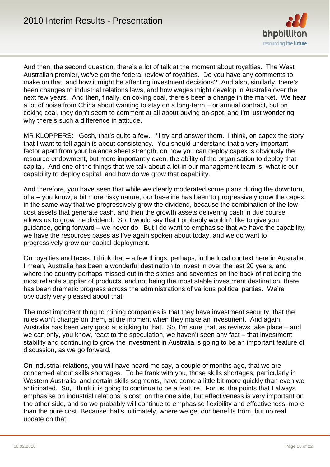

And then, the second question, there's a lot of talk at the moment about royalties. The West Australian premier, we've got the federal review of royalties. Do you have any comments to make on that, and how it might be affecting investment decisions? And also, similarly, there's been changes to industrial relations laws, and how wages might develop in Australia over the next few years. And then, finally, on coking coal, there's been a change in the market. We hear a lot of noise from China about wanting to stay on a long-term – or annual contract, but on coking coal, they don't seem to comment at all about buying on-spot, and I'm just wondering why there's such a difference in attitude.

MR KLOPPERS: Gosh, that's quite a few. I'll try and answer them. I think, on capex the story that I want to tell again is about consistency. You should understand that a very important factor apart from your balance sheet strength, on how you can deploy capex is obviously the resource endowment, but more importantly even, the ability of the organisation to deploy that capital. And one of the things that we talk about a lot in our management team is, what is our capability to deploy capital, and how do we grow that capability.

And therefore, you have seen that while we clearly moderated some plans during the downturn, of a – you know, a bit more risky nature, our baseline has been to progressively grow the capex, in the same way that we progressively grow the dividend, because the combination of the lowcost assets that generate cash, and then the growth assets delivering cash in due course, allows us to grow the dividend. So, I would say that I probably wouldn't like to give you guidance, going forward – we never do. But I do want to emphasise that we have the capability, we have the resources bases as I've again spoken about today, and we do want to progressively grow our capital deployment.

On royalties and taxes, I think that – a few things, perhaps, in the local context here in Australia. I mean, Australia has been a wonderful destination to invest in over the last 20 years, and where the country perhaps missed out in the sixties and seventies on the back of not being the most reliable supplier of products, and not being the most stable investment destination, there has been dramatic progress across the administrations of various political parties. We're obviously very pleased about that.

The most important thing to mining companies is that they have investment security, that the rules won't change on them, at the moment when they make an investment. And again, Australia has been very good at sticking to that. So, I'm sure that, as reviews take place – and we can only, you know, react to the speculation, we haven't seen any fact – that investment stability and continuing to grow the investment in Australia is going to be an important feature of discussion, as we go forward.

On industrial relations, you will have heard me say, a couple of months ago, that we are concerned about skills shortages. To be frank with you, those skills shortages, particularly in Western Australia, and certain skills segments, have come a little bit more quickly than even we anticipated. So, I think it is going to continue to be a feature. For us, the points that I always emphasise on industrial relations is cost, on the one side, but effectiveness is very important on the other side, and so we probably will continue to emphasise flexibility and effectiveness, more than the pure cost. Because that's, ultimately, where we get our benefits from, but no real update on that.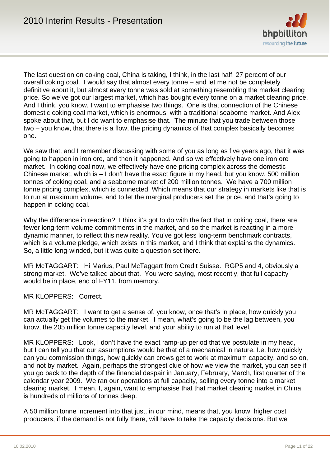

The last question on coking coal, China is taking, I think, in the last half, 27 percent of our overall coking coal. I would say that almost every tonne – and let me not be completely definitive about it, but almost every tonne was sold at something resembling the market clearing price. So we've got our largest market, which has bought every tonne on a market clearing price. And I think, you know, I want to emphasise two things. One is that connection of the Chinese domestic coking coal market, which is enormous, with a traditional seaborne market. And Alex spoke about that, but I do want to emphasise that. The minute that you trade between those two – you know, that there is a flow, the pricing dynamics of that complex basically becomes one.

We saw that, and I remember discussing with some of you as long as five years ago, that it was going to happen in iron ore, and then it happened. And so we effectively have one iron ore market. In coking coal now, we effectively have one pricing complex across the domestic Chinese market, which is – I don't have the exact figure in my head, but you know, 500 million tonnes of coking coal, and a seaborne market of 200 million tonnes. We have a 700 million tonne pricing complex, which is connected. Which means that our strategy in markets like that is to run at maximum volume, and to let the marginal producers set the price, and that's going to happen in coking coal.

Why the difference in reaction? I think it's got to do with the fact that in coking coal, there are fewer long-term volume commitments in the market, and so the market is reacting in a more dynamic manner, to reflect this new reality. You've got less long-term benchmark contracts, which is a volume pledge, which exists in this market, and I think that explains the dynamics. So, a little long-winded, but it was quite a question set there.

MR McTAGGART: Hi Marius, Paul McTaggart from Credit Suisse. RGP5 and 4, obviously a strong market. We've talked about that. You were saying, most recently, that full capacity would be in place, end of FY11, from memory.

MR KLOPPERS: Correct.

MR McTAGGART: I want to get a sense of, you know, once that's in place, how quickly you can actually get the volumes to the market. I mean, what's going to be the lag between, you know, the 205 million tonne capacity level, and your ability to run at that level.

MR KLOPPERS: Look, I don't have the exact ramp-up period that we postulate in my head, but I can tell you that our assumptions would be that of a mechanical in nature. I.e, how quickly can you commission things, how quickly can crews get to work at maximum capacity, and so on, and not by market. Again, perhaps the strongest clue of how we view the market, you can see if you go back to the depth of the financial despair in January, February, March, first quarter of the calendar year 2009. We ran our operations at full capacity, selling every tonne into a market clearing market. I mean, I, again, want to emphasise that that market clearing market in China is hundreds of millions of tonnes deep.

A 50 million tonne increment into that just, in our mind, means that, you know, higher cost producers, if the demand is not fully there, will have to take the capacity decisions. But we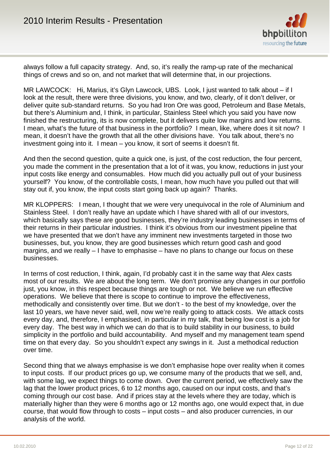

always follow a full capacity strategy. And, so, it's really the ramp-up rate of the mechanical things of crews and so on, and not market that will determine that, in our projections.

MR LAWCOCK: Hi, Marius, it's Glyn Lawcock, UBS. Look, I just wanted to talk about – if I look at the result, there were three divisions, you know, and two, clearly, of it don't deliver, or deliver quite sub-standard returns. So you had Iron Ore was good, Petroleum and Base Metals, but there's Aluminium and, I think, in particular, Stainless Steel which you said you have now finished the restructuring, its is now complete, but it delivers quite low margins and low returns. I mean, what's the future of that business in the portfolio? I mean, like, where does it sit now? I mean, it doesn't have the growth that all the other divisions have. You talk about, there's no investment going into it. I mean – you know, it sort of seems it doesn't fit.

And then the second question, quite a quick one, is just, of the cost reduction, the four percent, you made the comment in the presentation that a lot of it was, you know, reductions in just your input costs like energy and consumables. How much did you actually pull out of your business yourself? You know, of the controllable costs, I mean, how much have you pulled out that will stay out if, you know, the input costs start going back up again? Thanks.

MR KLOPPERS: I mean, I thought that we were very unequivocal in the role of Aluminium and Stainless Steel. I don't really have an update which I have shared with all of our investors, which basically says these are good businesses, they're industry leading businesses in terms of their returns in their particular industries. I think it's obvious from our investment pipeline that we have presented that we don't have any imminent new investments targeted in those two businesses, but, you know, they are good businesses which return good cash and good margins, and we really – I have to emphasise – have no plans to change our focus on these businesses.

In terms of cost reduction, I think, again, I'd probably cast it in the same way that Alex casts most of our results. We are about the long term. We don't promise any changes in our portfolio just, you know, in this respect because things are tough or not. We believe we run effective operations. We believe that there is scope to continue to improve the effectiveness, methodically and consistently over time. But we don't - to the best of my knowledge, over the last 10 years, we have never said, well, now we're really going to attack costs. We attack costs every day, and, therefore, I emphasised, in particular in my talk, that being low cost is a job for every day. The best way in which we can do that is to build stability in our business, to build simplicity in the portfolio and build accountability. And myself and my management team spend time on that every day. So you shouldn't expect any swings in it. Just a methodical reduction over time.

Second thing that we always emphasise is we don't emphasise hope over reality when it comes to input costs. If our product prices go up, we consume many of the products that we sell, and, with some lag, we expect things to come down. Over the current period, we effectively saw the lag that the lower product prices, 6 to 12 months ago, caused on our input costs, and that's coming through our cost base. And if prices stay at the levels where they are today, which is materially higher than they were 6 months ago or 12 months ago, one would expect that, in due course, that would flow through to costs – input costs – and also producer currencies, in our analysis of the world.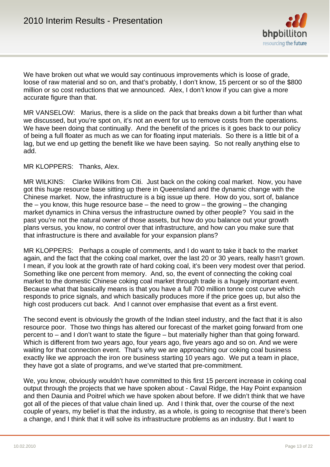

We have broken out what we would say continuous improvements which is loose of grade, loose of raw material and so on, and that's probably, I don't know, 15 percent or so of the \$800 million or so cost reductions that we announced. Alex, I don't know if you can give a more accurate figure than that.

MR VANSELOW: Marius, there is a slide on the pack that breaks down a bit further than what we discussed, but you're spot on, it's not an event for us to remove costs from the operations. We have been doing that continually. And the benefit of the prices is it goes back to our policy of being a full floater as much as we can for floating input materials. So there is a little bit of a lag, but we end up getting the benefit like we have been saying. So not really anything else to add.

#### MR KLOPPERS: Thanks, Alex.

MR WILKINS: Clarke Wilkins from Citi. Just back on the coking coal market. Now, you have got this huge resource base sitting up there in Queensland and the dynamic change with the Chinese market. Now, the infrastructure is a big issue up there. How do you, sort of, balance the  $-$  you know, this huge resource base  $-$  the need to grow  $-$  the growing  $-$  the changing market dynamics in China versus the infrastructure owned by other people? You said in the past you're not the natural owner of those assets, but how do you balance out your growth plans versus, you know, no control over that infrastructure, and how can you make sure that that infrastructure is there and available for your expansion plans?

MR KLOPPERS: Perhaps a couple of comments, and I do want to take it back to the market again, and the fact that the coking coal market, over the last 20 or 30 years, really hasn't grown. I mean, if you look at the growth rate of hard coking coal, it's been very modest over that period. Something like one percent from memory. And, so, the event of connecting the coking coal market to the domestic Chinese coking coal market through trade is a hugely important event. Because what that basically means is that you have a full 700 million tonne cost curve which responds to price signals, and which basically produces more if the price goes up, but also the high cost producers cut back. And I cannot over emphasise that event as a first event.

The second event is obviously the growth of the Indian steel industry, and the fact that it is also resource poor. Those two things has altered our forecast of the market going forward from one percent to – and I don't want to state the figure – but materially higher than that going forward. Which is different from two years ago, four years ago, five years ago and so on. And we were waiting for that connection event. That's why we are approaching our coking coal business exactly like we approach the iron ore business starting 10 years ago. We put a team in place, they have got a slate of programs, and we've started that pre-commitment.

We, you know, obviously wouldn't have committed to this first 15 percent increase in coking coal output through the projects that we have spoken about - Caval Ridge, the Hay Point expansion and then Daunia and Poitrel which we have spoken about before. If we didn't think that we have got all of the pieces of that value chain lined up. And I think that, over the course of the next couple of years, my belief is that the industry, as a whole, is going to recognise that there's been a change, and I think that it will solve its infrastructure problems as an industry. But I want to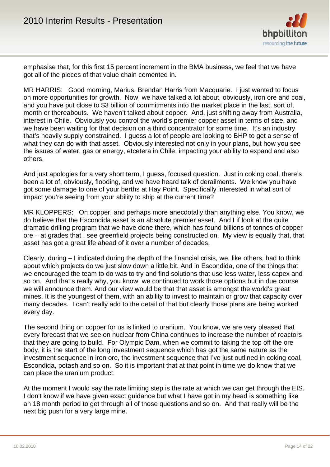

emphasise that, for this first 15 percent increment in the BMA business, we feel that we have got all of the pieces of that value chain cemented in.

MR HARRIS: Good morning, Marius. Brendan Harris from Macquarie. I just wanted to focus on more opportunities for growth. Now, we have talked a lot about, obviously, iron ore and coal, and you have put close to \$3 billion of commitments into the market place in the last, sort of, month or thereabouts. We haven't talked about copper. And, just shifting away from Australia, interest in Chile. Obviously you control the world's premier copper asset in terms of size, and we have been waiting for that decision on a third concentrator for some time. It's an industry that's heavily supply constrained. I guess a lot of people are looking to BHP to get a sense of what they can do with that asset. Obviously interested not only in your plans, but how you see the issues of water, gas or energy, etcetera in Chile, impacting your ability to expand and also others.

And just apologies for a very short term, I guess, focused question. Just in coking coal, there's been a lot of, obviously, flooding, and we have heard talk of derailments. We know you have got some damage to one of your berths at Hay Point. Specifically interested in what sort of impact you're seeing from your ability to ship at the current time?

MR KLOPPERS: On copper, and perhaps more anecdotally than anything else. You know, we do believe that the Escondida asset is an absolute premier asset. And I if look at the quite dramatic drilling program that we have done there, which has found billions of tonnes of copper ore – at grades that I see greenfield projects being constructed on. My view is equally that, that asset has got a great life ahead of it over a number of decades.

Clearly, during – I indicated during the depth of the financial crisis, we, like others, had to think about which projects do we just slow down a little bit. And in Escondida, one of the things that we encouraged the team to do was to try and find solutions that use less water, less capex and so on. And that's really why, you know, we continued to work those options but in due course we will announce them. And our view would be that that asset is amongst the world's great mines. It is the youngest of them, with an ability to invest to maintain or grow that capacity over many decades. I can't really add to the detail of that but clearly those plans are being worked every day.

The second thing on copper for us is linked to uranium. You know, we are very pleased that every forecast that we see on nuclear from China continues to increase the number of reactors that they are going to build. For Olympic Dam, when we commit to taking the top off the ore body, it is the start of the long investment sequence which has got the same nature as the investment sequence in iron ore, the investment sequence that I've just outlined in coking coal, Escondida, potash and so on. So it is important that at that point in time we do know that we can place the uranium product.

At the moment I would say the rate limiting step is the rate at which we can get through the EIS. I don't know if we have given exact guidance but what I have got in my head is something like an 18 month period to get through all of those questions and so on. And that really will be the next big push for a very large mine.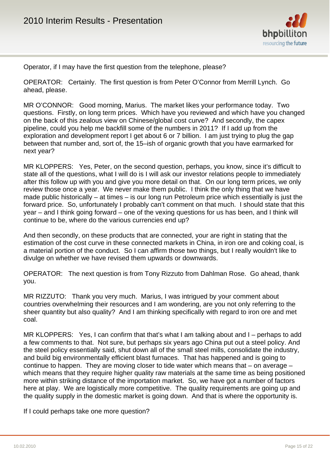

Operator, if I may have the first question from the telephone, please?

OPERATOR: Certainly. The first question is from Peter O'Connor from Merrill Lynch. Go ahead, please.

MR O'CONNOR: Good morning, Marius. The market likes your performance today. Two questions. Firstly, on long term prices. Which have you reviewed and which have you changed on the back of this zealous view on Chinese/global cost curve? And secondly, the capex pipeline, could you help me backfill some of the numbers in 2011? If I add up from the exploration and development report I get about 6 or 7 billion. I am just trying to plug the gap between that number and, sort of, the 15–ish of organic growth that you have earmarked for next year?

MR KLOPPERS: Yes, Peter, on the second question, perhaps, you know, since it's difficult to state all of the questions, what I will do is I will ask our investor relations people to immediately after this follow up with you and give you more detail on that. On our long term prices, we only review those once a year. We never make them public. I think the only thing that we have made public historically – at times – is our long run Petroleum price which essentially is just the forward price. So, unfortunately I probably can't comment on that much. I should state that this year – and I think going forward – one of the vexing questions for us has been, and I think will continue to be, where do the various currencies end up?

And then secondly, on these products that are connected, your are right in stating that the estimation of the cost curve in these connected markets in China, in iron ore and coking coal, is a material portion of the conduct. So I can affirm those two things, but I really wouldn't like to divulge on whether we have revised them upwards or downwards.

OPERATOR: The next question is from Tony Rizzuto from Dahlman Rose. Go ahead, thank you.

MR RIZZUTO: Thank you very much. Marius, I was intrigued by your comment about countries overwhelming their resources and I am wondering, are you not only referring to the sheer quantity but also quality? And I am thinking specifically with regard to iron ore and met coal.

MR KLOPPERS: Yes, I can confirm that that's what I am talking about and I – perhaps to add a few comments to that. Not sure, but perhaps six years ago China put out a steel policy. And the steel policy essentially said, shut down all of the small steel mills, consolidate the industry, and build big environmentally efficient blast furnaces. That has happened and is going to continue to happen. They are moving closer to tide water which means that – on average – which means that they require higher quality raw materials at the same time as being positioned more within striking distance of the importation market. So, we have got a number of factors here at play. We are logistically more competitive. The quality requirements are going up and the quality supply in the domestic market is going down. And that is where the opportunity is.

If I could perhaps take one more question?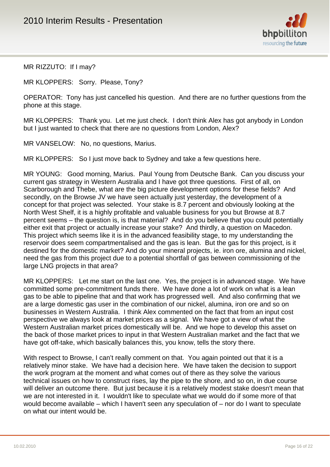

MR RIZZUTO: If I may?

MR KLOPPERS: Sorry. Please, Tony?

OPERATOR: Tony has just cancelled his question. And there are no further questions from the phone at this stage.

MR KLOPPERS: Thank you. Let me just check. I don't think Alex has got anybody in London but I just wanted to check that there are no questions from London, Alex?

MR VANSELOW: No, no questions, Marius.

MR KLOPPERS: So I just move back to Sydney and take a few questions here.

MR YOUNG: Good morning, Marius. Paul Young from Deutsche Bank. Can you discuss your current gas strategy in Western Australia and I have got three questions. First of all, on Scarborough and Thebe, what are the big picture development options for these fields? And secondly, on the Browse JV we have seen actually just yesterday, the development of a concept for that project was selected. Your stake is 8.7 percent and obviously looking at the North West Shelf, it is a highly profitable and valuable business for you but Browse at 8.7 percent seems – the question is, is that material? And do you believe that you could potentially either exit that project or actually increase your stake? And thirdly, a question on Macedon. This project which seems like it is in the advanced feasibility stage, to my understanding the reservoir does seem compartmentalised and the gas is lean. But the gas for this project, is it destined for the domestic market? And do your mineral projects, ie. iron ore, alumina and nickel, need the gas from this project due to a potential shortfall of gas between commissioning of the large LNG projects in that area?

MR KLOPPERS: Let me start on the last one. Yes, the project is in advanced stage. We have committed some pre-commitment funds there. We have done a lot of work on what is a lean gas to be able to pipeline that and that work has progressed well. And also confirming that we are a large domestic gas user in the combination of our nickel, alumina, iron ore and so on businesses in Western Australia. I think Alex commented on the fact that from an input cost perspective we always look at market prices as a signal. We have got a view of what the Western Australian market prices domestically will be. And we hope to develop this asset on the back of those market prices to input in that Western Australian market and the fact that we have got off-take, which basically balances this, you know, tells the story there.

With respect to Browse, I can't really comment on that. You again pointed out that it is a relatively minor stake. We have had a decision here. We have taken the decision to support the work program at the moment and what comes out of there as they solve the various technical issues on how to construct rises, lay the pipe to the shore, and so on, in due course will deliver an outcome there. But just because it is a relatively modest stake doesn't mean that we are not interested in it. I wouldn't like to speculate what we would do if some more of that would become available – which I haven't seen any speculation of – nor do I want to speculate on what our intent would be.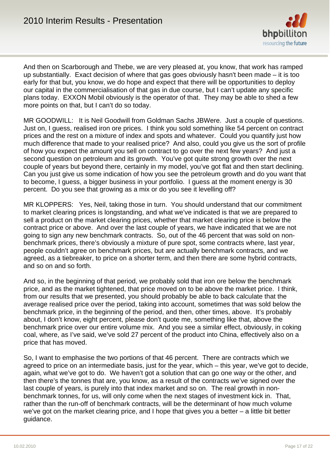

And then on Scarborough and Thebe, we are very pleased at, you know, that work has ramped up substantially. Exact decision of where that gas goes obviously hasn't been made – it is too early for that but, you know, we do hope and expect that there will be opportunities to deploy our capital in the commercialisation of that gas in due course, but I can't update any specific plans today. EXXON Mobil obviously is the operator of that. They may be able to shed a few more points on that, but I can't do so today.

MR GOODWILL: It is Neil Goodwill from Goldman Sachs JBWere. Just a couple of questions. Just on, I guess, realised iron ore prices. I think you sold something like 54 percent on contract prices and the rest on a mixture of index and spots and whatever. Could you quantify just how much difference that made to your realised price? And also, could you give us the sort of profile of how you expect the amount you sell on contract to go over the next few years? And just a second question on petroleum and its growth. You've got quite strong growth over the next couple of years but beyond there, certainly in my model, you've got flat and then start declining. Can you just give us some indication of how you see the petroleum growth and do you want that to become, I guess, a bigger business in your portfolio. I guess at the moment energy is 30 percent. Do you see that growing as a mix or do you see it levelling off?

MR KLOPPERS: Yes, Neil, taking those in turn. You should understand that our commitment to market clearing prices is longstanding, and what we've indicated is that we are prepared to sell a product on the market clearing prices, whether that market clearing price is below the contract price or above. And over the last couple of years, we have indicated that we are not going to sign any new benchmark contracts. So, out of the 46 percent that was sold on nonbenchmark prices, there's obviously a mixture of pure spot, some contracts where, last year, people couldn't agree on benchmark prices, but are actually benchmark contracts, and we agreed, as a tiebreaker, to price on a shorter term, and then there are some hybrid contracts, and so on and so forth.

And so, in the beginning of that period, we probably sold that iron ore below the benchmark price, and as the market tightened, that price moved on to be above the market price. I think, from our results that we presented, you should probably be able to back calculate that the average realised price over the period, taking into account, sometimes that was sold below the benchmark price, in the beginning of the period, and then, other times, above. It's probably about, I don't know, eight percent, please don't quote me, something like that, above the benchmark price over our entire volume mix. And you see a similar effect, obviously, in coking coal, where, as I've said, we've sold 27 percent of the product into China, effectively also on a price that has moved.

So, I want to emphasise the two portions of that 46 percent. There are contracts which we agreed to price on an intermediate basis, just for the year, which – this year, we've got to decide, again, what we've got to do. We haven't got a solution that can go one way or the other, and then there's the tonnes that are, you know, as a result of the contracts we've signed over the last couple of years, is purely into that index market and so on. The real growth in nonbenchmark tonnes, for us, will only come when the next stages of investment kick in. That, rather than the run-off of benchmark contracts, will be the determinant of how much volume we've got on the market clearing price, and I hope that gives you a better – a little bit better guidance.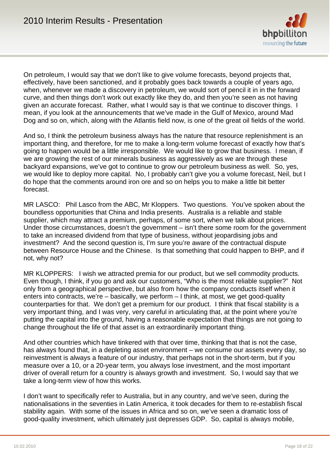

On petroleum, I would say that we don't like to give volume forecasts, beyond projects that, effectively, have been sanctioned, and it probably goes back towards a couple of years ago, when, whenever we made a discovery in petroleum, we would sort of pencil it in in the forward curve, and then things don't work out exactly like they do, and then you're seen as not having given an accurate forecast. Rather, what I would say is that we continue to discover things. I mean, if you look at the announcements that we've made in the Gulf of Mexico, around Mad Dog and so on, which, along with the Atlantis field now, is one of the great oil fields of the world.

And so, I think the petroleum business always has the nature that resource replenishment is an important thing, and therefore, for me to make a long-term volume forecast of exactly how that's going to happen would be a little irresponsible. We would like to grow that business. I mean, if we are growing the rest of our minerals business as aggressively as we are through these backyard expansions, we've got to continue to grow our petroleum business as well. So, yes, we would like to deploy more capital. No, I probably can't give you a volume forecast, Neil, but I do hope that the comments around iron ore and so on helps you to make a little bit better forecast.

MR LASCO: Phil Lasco from the ABC, Mr Kloppers. Two questions. You've spoken about the boundless opportunities that China and India presents. Australia is a reliable and stable supplier, which may attract a premium, perhaps, of some sort, when we talk about prices. Under those circumstances, doesn't the government – isn't there some room for the government to take an increased dividend from that type of business, without jeopardising jobs and investment? And the second question is, I'm sure you're aware of the contractual dispute between Resource House and the Chinese. Is that something that could happen to BHP, and if not, why not?

MR KLOPPERS: I wish we attracted premia for our product, but we sell commodity products. Even though, I think, if you go and ask our customers, "Who is the most reliable supplier?" Not only from a geographical perspective, but also from how the company conducts itself when it enters into contracts, we're – basically, we perform – I think, at most, we get good-quality counterparties for that. We don't get a premium for our product. I think that fiscal stability is a very important thing, and I was very, very careful in articulating that, at the point where you're putting the capital into the ground, having a reasonable expectation that things are not going to change throughout the life of that asset is an extraordinarily important thing.

And other countries which have tinkered with that over time, thinking that that is not the case, has always found that, in a depleting asset environment – we consume our assets every day, so reinvestment is always a feature of our industry, that perhaps not in the short-term, but if you measure over a 10, or a 20-year term, you always lose investment, and the most important driver of overall return for a country is always growth and investment. So, I would say that we take a long-term view of how this works.

I don't want to specifically refer to Australia, but in any country, and we've seen, during the nationalisations in the seventies in Latin America, it took decades for them to re-establish fiscal stability again. With some of the issues in Africa and so on, we've seen a dramatic loss of good-quality investment, which ultimately just depresses GDP. So, capital is always mobile,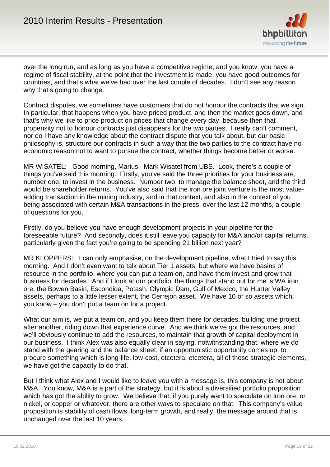

over the long run, and as long as you have a competitive regime, and you know, you have a regime of fiscal stability, at the point that the investment is made, you have good outcomes for countries, and that's what we've had over the last couple of decades. I don't see any reason why that's going to change.

Contract disputes, we sometimes have customers that do not honour the contracts that we sign. In particular, that happens when you have priced product, and then the market goes down, and that's why we like to price product on prices that change every day, because then that propensity not to honour contracts just disappears for the two parties. I really can't comment, nor do I have any knowledge about the contract dispute that you talk about, but our basic philosophy is, structure our contracts in such a way that the two parties to the contract have no economic reason not to want to pursue the contract, whether things become better or worse.

MR WISATEL: Good morning, Marius. Mark Wisatel from UBS. Look, there's a couple of things you've said this morning. Firstly, you've said the three priorities for your business are, number one, to invest in the business. Number two, to manage the balance sheet, and the third would be shareholder returns. You've also said that the iron ore joint venture is the most valueadding transaction in the mining industry, and in that context, and also in the context of you being associated with certain M&A transactions in the press, over the last 12 months, a couple of questions for you.

Firstly, do you believe you have enough development projects in your pipeline for the foreseeable future? And secondly, does it still leave you capacity for M&A and/or capital returns, particularly given the fact you're going to be spending 21 billion next year?

MR KLOPPERS: I can only emphasise, on the development pipeline, what I tried to say this morning. And I don't even want to talk about Tier 1 assets, but where we have basins of resource in the portfolio, where you can put a team on, and have them invest and grow that business for decades. And if I look at our portfolio, the things that stand out for me is WA iron ore, the Bowen Basin, Escondida, Potash, Olympic Dam, Gulf of Mexico, the Hunter Valley assets, perhaps to a little lesser extent, the Cerrejon asset. We have 10 or so assets which, you know – you don't put a team on for a project.

What our aim is, we put a team on, and you keep them there for decades, building one project after another, riding down that experience curve. And we think we've got the resources, and we'll obviously continue to add the resources, to maintain that growth of capital deployment in our business. I think Alex was also equally clear in saying, notwithstanding that, where we do stand with the gearing and the balance sheet, if an opportunistic opportunity comes up, to procure something which is long-life, low-cost, etcetera, etcetera, all of those strategic elements, we have got the capacity to do that.

But I think what Alex and I would like to leave you with a message is, this company is not about M&A. You know, M&A is a part of the strategy, but it is about a diversified portfolio proposition which has got the ability to grow. We believe that, if you purely want to speculate on iron ore, or nickel, or copper or whatever, there are other ways to speculate on that. This company's value proposition is stability of cash flows, long-term growth, and really, the message around that is unchanged over the last 10 years.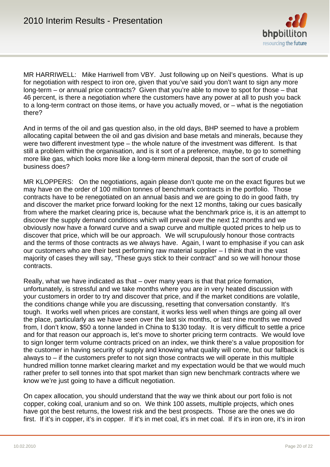

MR HARRIWELL: Mike Harriwell from VBY. Just following up on Neil's questions. What is up for negotiation with respect to iron ore, given that you've said you don't want to sign any more long-term – or annual price contracts? Given that you're able to move to spot for those – that 46 percent, is there a negotiation where the customers have any power at all to push you back to a long-term contract on those items, or have you actually moved, or – what is the negotiation there?

And in terms of the oil and gas question also, in the old days, BHP seemed to have a problem allocating capital between the oil and gas division and base metals and minerals, because they were two different investment type – the whole nature of the investment was different. Is that still a problem within the organisation, and is it sort of a preference, maybe, to go to something more like gas, which looks more like a long-term mineral deposit, than the sort of crude oil business does?

MR KLOPPERS: On the negotiations, again please don't quote me on the exact figures but we may have on the order of 100 million tonnes of benchmark contracts in the portfolio. Those contracts have to be renegotiated on an annual basis and we are going to do in good faith, try and discover the market price forward looking for the next 12 months, taking our cues basically from where the market clearing price is, because what the benchmark price is, it is an attempt to discover the supply demand conditions which will prevail over the next 12 months and we obviously now have a forward curve and a swap curve and multiple quoted prices to help us to discover that price, which will be our approach. We will scrupulously honour those contracts and the terms of those contracts as we always have. Again, I want to emphasise if you can ask our customers who are their best performing raw material supplier – I think that in the vast majority of cases they will say, "These guys stick to their contract" and so we will honour those contracts.

Really, what we have indicated as that – over many years is that that price formation, unfortunately, is stressful and we take months where you are in very heated discussion with your customers in order to try and discover that price, and if the market conditions are volatile, the conditions change while you are discussing, resetting that conversation constantly. It's tough. It works well when prices are constant, it works less well when things are going all over the place, particularly as we have seen over the last six months, or last nine months we moved from, I don't know, \$50 a tonne landed in China to \$130 today. It is very difficult to settle a price and for that reason our approach is, let's move to shorter pricing term contracts. We would love to sign longer term volume contracts priced on an index, we think there's a value proposition for the customer in having security of supply and knowing what quality will come, but our fallback is always to – if the customers prefer to not sign those contracts we will operate in this multiple hundred million tonne market clearing market and my expectation would be that we would much rather prefer to sell tonnes into that spot market than sign new benchmark contracts where we know we're just going to have a difficult negotiation.

On capex allocation, you should understand that the way we think about our port folio is not copper, coking coal, uranium and so on. We think 100 assets, multiple projects, which ones have got the best returns, the lowest risk and the best prospects. Those are the ones we do first. If it's in copper, it's in copper. If it's in met coal, it's in met coal. If it's in iron ore, it's in iron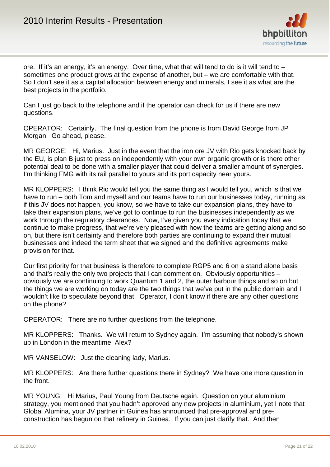

ore. If it's an energy, it's an energy. Over time, what that will tend to do is it will tend to – sometimes one product grows at the expense of another, but – we are comfortable with that. So I don't see it as a capital allocation between energy and minerals, I see it as what are the best projects in the portfolio.

Can I just go back to the telephone and if the operator can check for us if there are new questions.

OPERATOR: Certainly. The final question from the phone is from David George from JP Morgan. Go ahead, please.

MR GEORGE: Hi, Marius. Just in the event that the iron ore JV with Rio gets knocked back by the EU, is plan B just to press on independently with your own organic growth or is there other potential deal to be done with a smaller player that could deliver a smaller amount of synergies. I'm thinking FMG with its rail parallel to yours and its port capacity near yours.

MR KLOPPERS: I think Rio would tell you the same thing as I would tell you, which is that we have to run – both Tom and myself and our teams have to run our businesses today, running as if this JV does not happen, you know, so we have to take our expansion plans, they have to take their expansion plans, we've got to continue to run the businesses independently as we work through the regulatory clearances. Now, I've given you every indication today that we continue to make progress, that we're very pleased with how the teams are getting along and so on, but there isn't certainty and therefore both parties are continuing to expand their mutual businesses and indeed the term sheet that we signed and the definitive agreements make provision for that.

Our first priority for that business is therefore to complete RGP5 and 6 on a stand alone basis and that's really the only two projects that I can comment on. Obviously opportunities obviously we are continuing to work Quantum 1 and 2, the outer harbour things and so on but the things we are working on today are the two things that we've put in the public domain and I wouldn't like to speculate beyond that. Operator, I don't know if there are any other questions on the phone?

OPERATOR: There are no further questions from the telephone.

MR KLOPPERS: Thanks. We will return to Sydney again. I'm assuming that nobody's shown up in London in the meantime, Alex?

MR VANSELOW: Just the cleaning lady, Marius.

MR KLOPPERS: Are there further questions there in Sydney? We have one more question in the front.

MR YOUNG: Hi Marius, Paul Young from Deutsche again. Question on your aluminium strategy, you mentioned that you hadn't approved any new projects in aluminium, yet I note that Global Alumina, your JV partner in Guinea has announced that pre-approval and preconstruction has begun on that refinery in Guinea. If you can just clarify that. And then